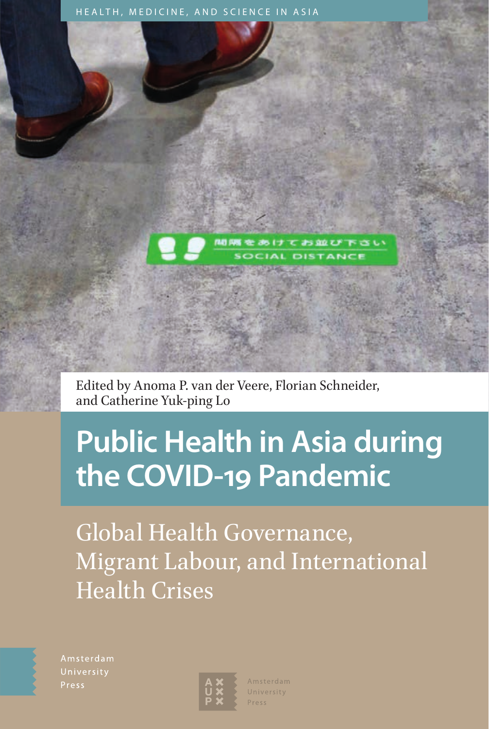



Edited by Anoma P. van der Veere, Florian Schneider, and Catherine Yuk-ping Lo

# **Public Health in Asia during the COVID-19 Pandemic**

Global Health Governance, Migrant Labour, and International Health Crises

Amsterdam Press



Amsterdam University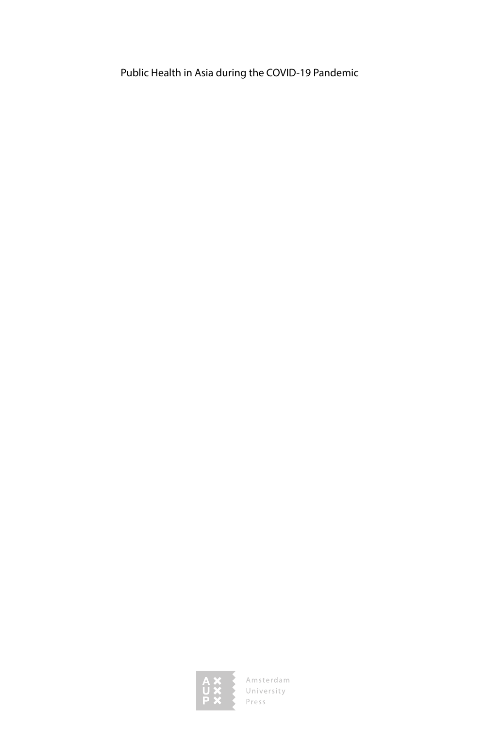Public Health in Asia during the COVID-19 Pandemic



Amsterdam<br>University<br>Press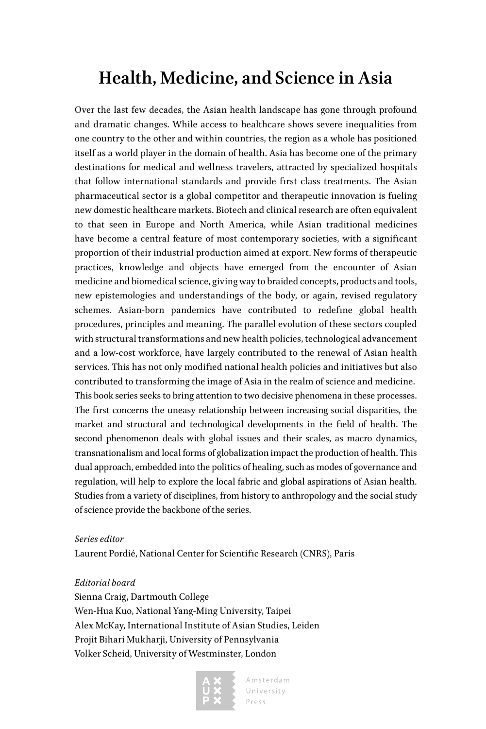### **Health, Medicine, and Science in Asia**

Over the last few decades, the Asian health landscape has gone through profound and dramatic changes. While access to healthcare shows severe inequalities from one country to the other and within countries, the region as a whole has positioned itself as a world player in the domain of health. Asia has become one of the primary destinations for medical and wellness travelers, attracted by specialized hospitals that follow international standards and provide first class treatments. The Asian pharmaceutical sector is a global competitor and therapeutic innovation is fueling new domestic healthcare markets. Biotech and clinical research are often equivalent to that seen in Europe and North America, while Asian traditional medicines have become a central feature of most contemporary societies, with a significant proportion of their industrial production aimed at export. New forms of therapeutic practices, knowledge and objects have emerged from the encounter of Asian medicine and biomedical science, giving way to braided concepts, products and tools, new epistemologies and understandings of the body, or again, revised regulatory schemes. Asian-born pandemics have contributed to redefine global health procedures, principles and meaning. The parallel evolution of these sectors coupled with structural transformations and new health policies, technological advancement and a low-cost workforce, have largely contributed to the renewal of Asian health services. This has not only modified national health policies and initiatives but also contributed to transforming the image of Asia in the realm of science and medicine. This book series seeks to bring attention to two decisive phenomena in these processes. The first concerns the uneasy relationship between increasing social disparities, the market and structural and technological developments in the field of health. The second phenomenon deals with global issues and their scales, as macro dynamics, transnationalism and local forms of globalization impact the production of health. This dual approach, embedded into the politics of healing, such as modes of governance and regulation, will help to explore the local fabric and global aspirations of Asian health. Studies from a variety of disciplines, from history to anthropology and the social study of science provide the backbone of the series.

#### *Series editor*

Laurent Pordié, National Center for Scientific Research (CNRS), Paris

#### *Editorial board*

Sienna Craig, Dartmouth College Wen-Hua Kuo, National Yang-Ming University, Taipei Alex McKay, International Institute of Asian Studies, Leiden Projit Bihari Mukharji, University of Pennsylvania Volker Scheid, University of Westminster, London

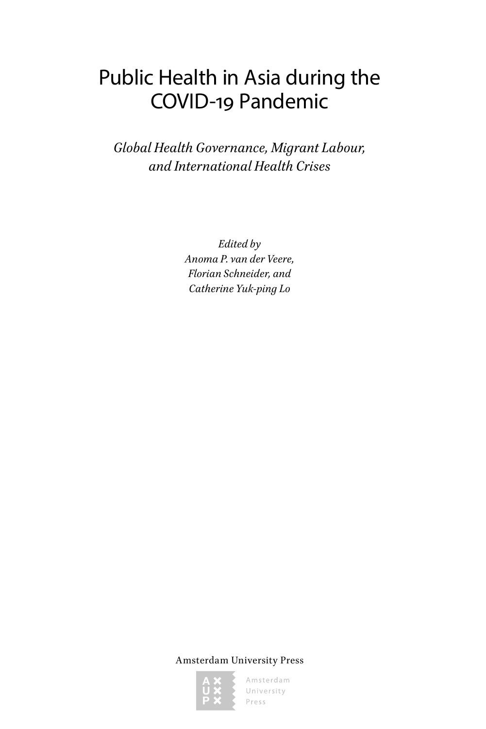# Public Health in Asia during the COVID-19 Pandemic

*Global Health Governance, Migrant Labour, and International Health Crises*

> *Edited by Anoma P. van der Veere, Florian Schneider, and Catherine Yuk-ping Lo*

Amsterdam University Press

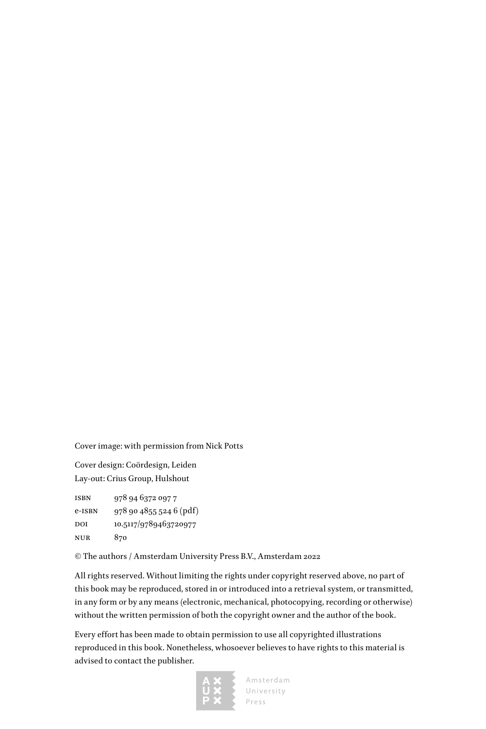Cover image: with permission from Nick Potts

Cover design: Coördesign, Leiden Lay-out: Crius Group, Hulshout

isbn 978 94 6372 097 7 e-isbn 978 90 4855 524 6 (pdf) DOI 10.5117/9789463720977 nur 870

© The authors / Amsterdam University Press B.V., Amsterdam 2022

All rights reserved. Without limiting the rights under copyright reserved above, no part of this book may be reproduced, stored in or introduced into a retrieval system, or transmitted, in any form or by any means (electronic, mechanical, photocopying, recording or otherwise) without the written permission of both the copyright owner and the author of the book.

Every effort has been made to obtain permission to use all copyrighted illustrations reproduced in this book. Nonetheless, whosoever believes to have rights to this material is advised to contact the publisher.

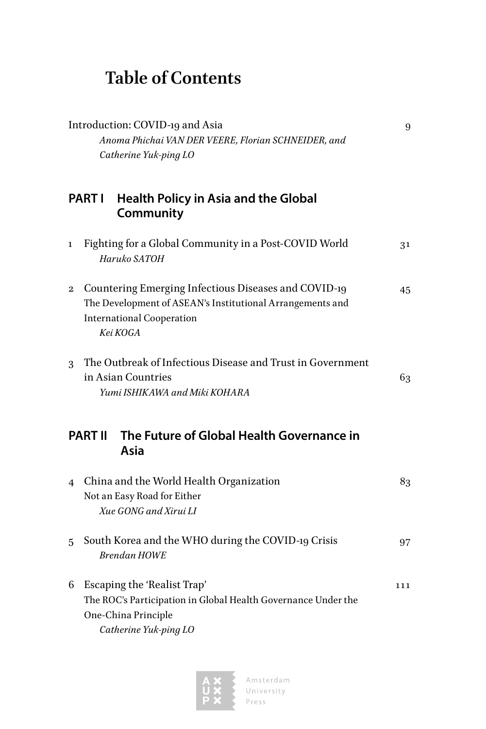## **Table of Contents**

| Introduction: COVID-19 and Asia<br>Anoma Phichai VAN DER VEERE, Florian SCHNEIDER, and<br>Catherine Yuk-ping LO |                                                                                                                                                                   | 9   |
|-----------------------------------------------------------------------------------------------------------------|-------------------------------------------------------------------------------------------------------------------------------------------------------------------|-----|
| Health Policy in Asia and the Global<br><b>PART I</b><br>Community                                              |                                                                                                                                                                   |     |
| 1                                                                                                               | Fighting for a Global Community in a Post-COVID World<br>Haruko SATOH                                                                                             | 31  |
| $\boldsymbol{2}$                                                                                                | Countering Emerging Infectious Diseases and COVID-19<br>The Development of ASEAN's Institutional Arrangements and<br><b>International Cooperation</b><br>Kei KOGA | 45  |
| 3                                                                                                               | The Outbreak of Infectious Disease and Trust in Government<br>in Asian Countries<br>Yumi ISHIKAWA and Miki KOHARA                                                 | 63  |
|                                                                                                                 | The Future of Global Health Governance in<br><b>PART II</b><br>Asia                                                                                               |     |
| $\overline{4}$                                                                                                  | China and the World Health Organization<br>Not an Easy Road for Either<br>Xue GONG and Xirui LI                                                                   | 83  |
| 5                                                                                                               | South Korea and the WHO during the COVID-19 Crisis<br><b>Brendan HOWE</b>                                                                                         | 97  |
| 6                                                                                                               | Escaping the 'Realist Trap'<br>The ROC's Participation in Global Health Governance Under the<br>One-China Principle<br>Catherine Yuk-ping LO                      | 111 |

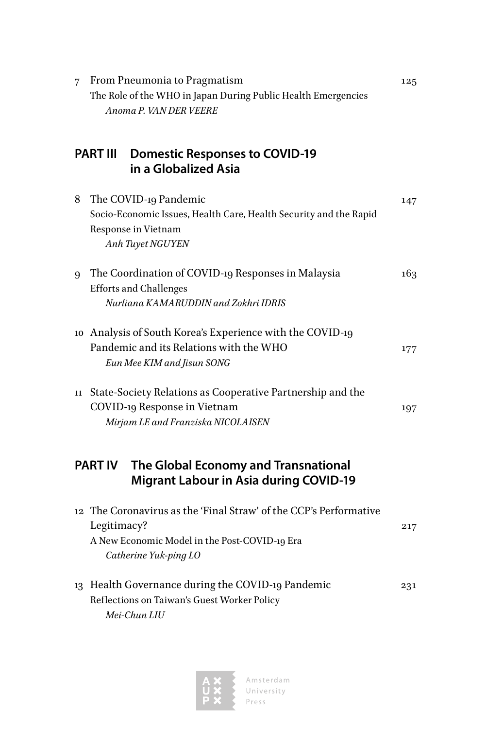| $\overline{7}$ | From Pneumonia to Pragmatism<br>The Role of the WHO in Japan During Public Health Emergencies<br>Anoma P. VAN DER VEERE                                    | 125 |
|----------------|------------------------------------------------------------------------------------------------------------------------------------------------------------|-----|
|                | <b>PART III</b><br><b>Domestic Responses to COVID-19</b><br>in a Globalized Asia                                                                           |     |
| 8              | The COVID-19 Pandemic<br>Socio-Economic Issues, Health Care, Health Security and the Rapid<br>Response in Vietnam<br>Anh Tuyet NGUYEN                      | 147 |
| 9              | The Coordination of COVID-19 Responses in Malaysia<br><b>Efforts and Challenges</b><br>Nurliana KAMARUDDIN and Zokhri IDRIS                                | 163 |
|                | 10 Analysis of South Korea's Experience with the COVID-19<br>Pandemic and its Relations with the WHO<br>Eun Mee KIM and Jisun SONG                         | 177 |
| 11             | State-Society Relations as Cooperative Partnership and the<br>COVID-19 Response in Vietnam<br>Mirjam LE and Franziska NICOLAISEN                           | 197 |
|                | <b>PART IV</b><br>The Global Economy and Transnational<br><b>Migrant Labour in Asia during COVID-19</b>                                                    |     |
|                | 12 The Coronavirus as the 'Final Straw' of the CCP's Performative<br>Legitimacy?<br>A New Economic Model in the Post-COVID-19 Era<br>Catherine Yuk-ping LO | 217 |
|                | 13 Health Governance during the COVID-19 Pandemic<br>Reflections on Taiwan's Guest Worker Policy<br>Mei-Chun LIU                                           | 231 |

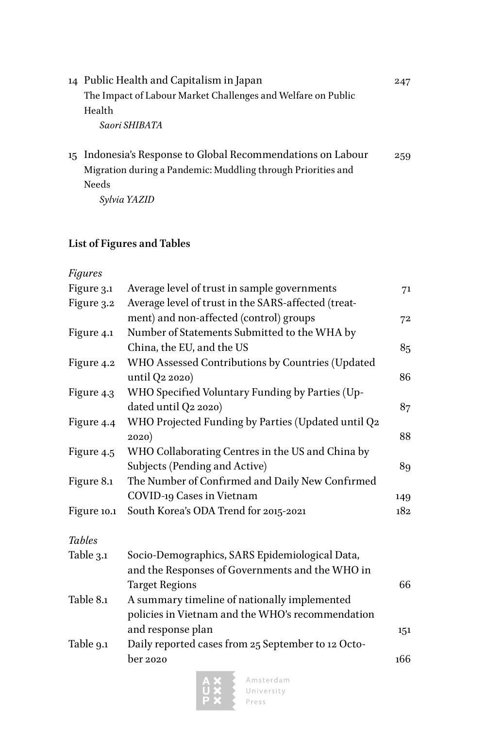| 14 Public Health and Capitalism in Japan                     | 247 |
|--------------------------------------------------------------|-----|
| The Impact of Labour Market Challenges and Welfare on Public |     |
| Health                                                       |     |
| Saori SHIBATA                                                |     |

15 [Indonesia's Response to Global Recommendations on Labour](#page--1-0) 259 [Migration during a Pandemic: Muddling through Priorities and](#page--1-0)  [Needs](#page--1-0)

*[Sylvia YAZID](#page--1-0)*

### **List of Figures and Tables**

*Figures*

| Figure 3.1    | Average level of trust in sample governments        | 71  |
|---------------|-----------------------------------------------------|-----|
| Figure 3.2    | Average level of trust in the SARS-affected (treat- |     |
|               | ment) and non-affected (control) groups             | 72  |
| Figure 4.1    | Number of Statements Submitted to the WHA by        |     |
|               | China, the EU, and the US                           | 85  |
| Figure 4.2    | WHO Assessed Contributions by Countries (Updated    |     |
|               | until Q2 2020)                                      | 86  |
| Figure 4.3    | WHO Specified Voluntary Funding by Parties (Up-     |     |
|               | dated until Q2 2020)                                | 87  |
| Figure 4.4    | WHO Projected Funding by Parties (Updated until Q2  |     |
|               | 2020)                                               | 88  |
| Figure 4.5    | WHO Collaborating Centres in the US and China by    |     |
|               | Subjects (Pending and Active)                       | 89  |
| Figure 8.1    | The Number of Confirmed and Daily New Confirmed     |     |
|               | COVID-19 Cases in Vietnam                           | 149 |
| Figure 10.1   | South Korea's ODA Trend for 2015-2021               | 182 |
| <b>Tables</b> |                                                     |     |
| Table 3.1     | Socio-Demographics, SARS Epidemiological Data,      |     |
|               | and the Responses of Governments and the WHO in     |     |
|               | <b>Target Regions</b>                               | 66  |
| Table 8.1     | A summary timeline of nationally implemented        |     |
|               | policies in Vietnam and the WHO's recommendation    |     |
|               | and response plan                                   | 151 |
| Table 9.1     | Daily reported cases from 25 September to 12 Octo-  |     |
|               | ber 2020                                            | 166 |
|               |                                                     |     |

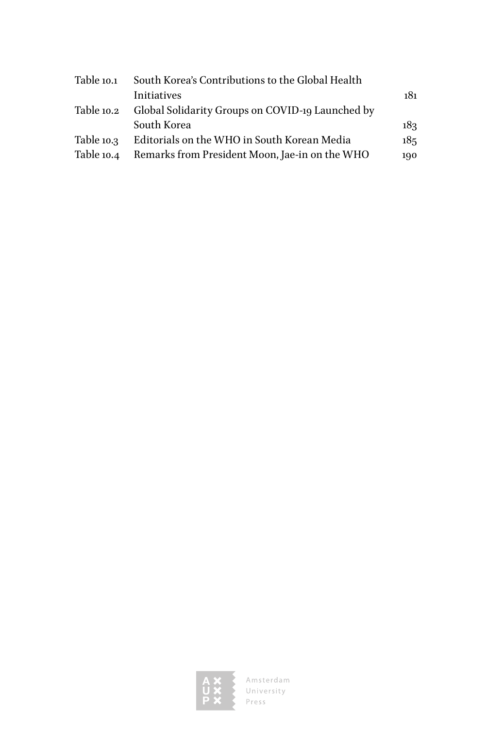| South Korea's Contributions to the Global Health |     |
|--------------------------------------------------|-----|
| Initiatives                                      | 181 |
| Global Solidarity Groups on COVID-19 Launched by |     |
| South Korea                                      | 183 |
| Editorials on the WHO in South Korean Media      | 185 |
| Remarks from President Moon, Jae-in on the WHO   | 190 |
|                                                  |     |

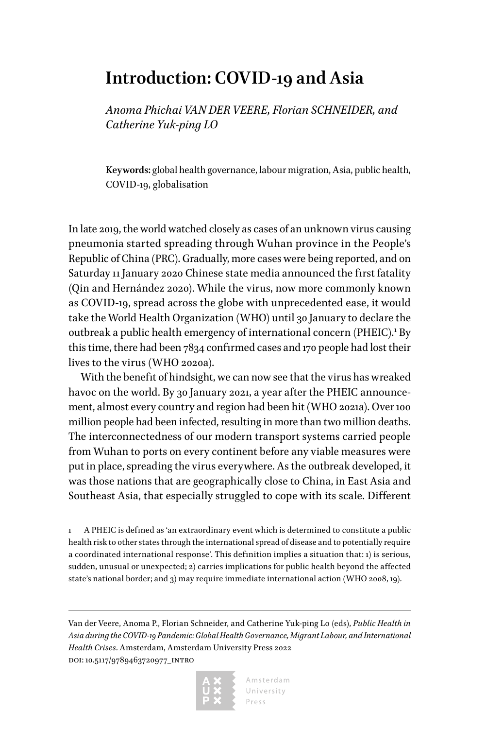### <span id="page-9-0"></span>**Introduction: COVID-19 and Asia**

*Anoma Phichai VAN DER VEERE, Florian SCHNEIDER, and Catherine Yuk-ping LO*

**Keywords:** global health governance, labour migration, Asia, public health, COVID-19, globalisation

In late 2019, the world watched closely as cases of an unknown virus causing pneumonia started spreading through Wuhan province in the People's Republic of China (PRC). Gradually, more cases were being reported, and on Saturday 11 January 2020 Chinese state media announced the first fatality (Qin and Hernández 2020). While the virus, now more commonly known as COVID-19, spread across the globe with unprecedented ease, it would take the World Health Organization (WHO) until 30 January to declare the outbreak a public health emergency of international concern (PHEIC).<sup>1</sup> By this time, there had been 7834 confirmed cases and 170 people had lost their lives to the virus (WHO 2020a).

With the benefit of hindsight, we can now see that the virus has wreaked havoc on the world. By 30 January 2021, a year after the PHEIC announcement, almost every country and region had been hit (WHO 2021a). Over 100 million people had been infected, resulting in more than two million deaths. The interconnectedness of our modern transport systems carried people from Wuhan to ports on every continent before any viable measures were put in place, spreading the virus everywhere. As the outbreak developed, it was those nations that are geographically close to China, in East Asia and Southeast Asia, that especially struggled to cope with its scale. Different

1 A PHEIC is defined as 'an extraordinary event which is determined to constitute a public health risk to other states through the international spread of disease and to potentially require a coordinated international response'. This definition implies a situation that: 1) is serious, sudden, unusual or unexpected; 2) carries implications for public health beyond the affected state's national border; and 3) may require immediate international action (WHO 2008, 19).

Van der Veere, Anoma P., Florian Schneider, and Catherine Yuk-ping Lo (eds), *Public Health in Asia during the COVID-19 Pandemic: Global Health Governance, Migrant Labour, and International Health Crises*. Amsterdam, Amsterdam University Press 2022 doi: 10.5117/9789463720977\_intro

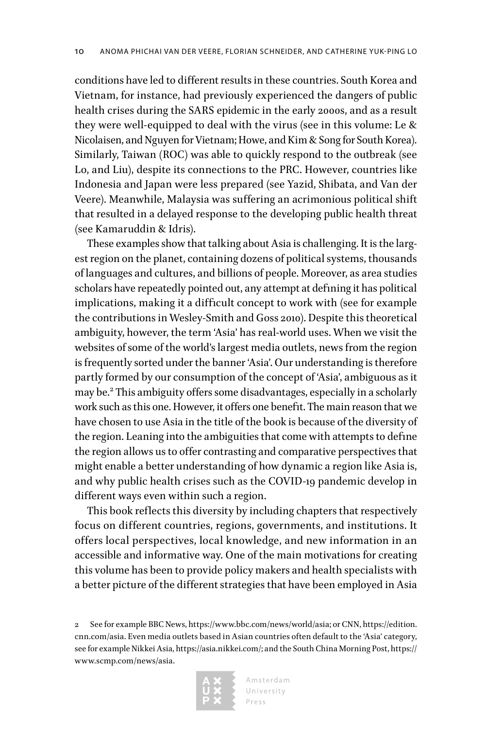conditions have led to different results in these countries. South Korea and Vietnam, for instance, had previously experienced the dangers of public health crises during the SARS epidemic in the early 2000s, and as a result they were well-equipped to deal with the virus (see in this volume: Le & Nicolaisen, and Nguyen for Vietnam; Howe, and Kim & Song for South Korea). Similarly, Taiwan (ROC) was able to quickly respond to the outbreak (see Lo, and Liu), despite its connections to the PRC. However, countries like Indonesia and Japan were less prepared (see Yazid, Shibata, and Van der Veere). Meanwhile, Malaysia was suffering an acrimonious political shift that resulted in a delayed response to the developing public health threat (see Kamaruddin & Idris).

These examples show that talking about Asia is challenging. It is the largest region on the planet, containing dozens of political systems, thousands of languages and cultures, and billions of people. Moreover, as area studies scholars have repeatedly pointed out, any attempt at defining it has political implications, making it a difficult concept to work with (see for example the contributions in Wesley-Smith and Goss 2010). Despite this theoretical ambiguity, however, the term 'Asia' has real-world uses. When we visit the websites of some of the world's largest media outlets, news from the region is frequently sorted under the banner 'Asia'. Our understanding is therefore partly formed by our consumption of the concept of 'Asia', ambiguous as it may be.<sup>2</sup> This ambiguity offers some disadvantages, especially in a scholarly work such as this one. However, it offers one benefit. The main reason that we have chosen to use Asia in the title of the book is because of the diversity of the region. Leaning into the ambiguities that come with attempts to define the region allows us to offer contrasting and comparative perspectives that might enable a better understanding of how dynamic a region like Asia is, and why public health crises such as the COVID-19 pandemic develop in different ways even within such a region.

This book reflects this diversity by including chapters that respectively focus on different countries, regions, governments, and institutions. It offers local perspectives, local knowledge, and new information in an accessible and informative way. One of the main motivations for creating this volume has been to provide policy makers and health specialists with a better picture of the different strategies that have been employed in Asia

<sup>2</sup> See for example BBC News, [https://www.bbc.com/news/world/asia;](https://www.bbc.com/news/world/asia) or CNN, [https://edition.](https://edition.cnn.com/asia) [cnn.com/asia](https://edition.cnn.com/asia). Even media outlets based in Asian countries often default to the 'Asia' category, see for example Nikkei Asia, [https://asia.nikkei.com/;](https://asia.nikkei.com/) and the South China Morning Post, [https://](https://www.scmp.com/news/asia) [www.scmp.com/news/asia.](https://www.scmp.com/news/asia)

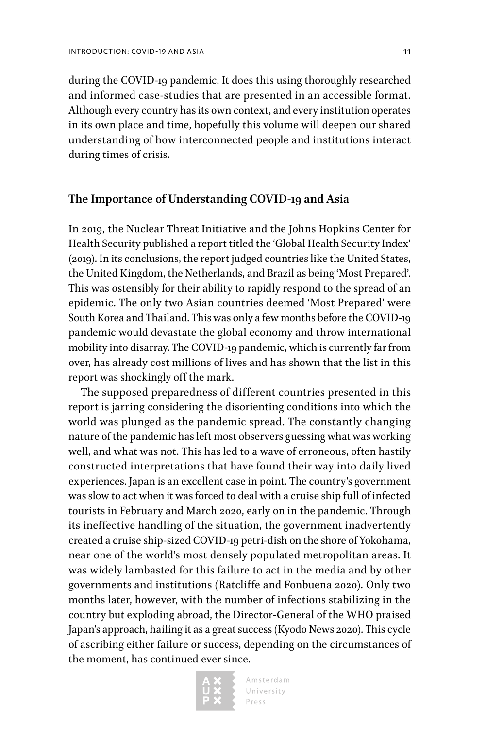during the COVID-19 pandemic. It does this using thoroughly researched and informed case-studies that are presented in an accessible format. Although every country has its own context, and every institution operates in its own place and time, hopefully this volume will deepen our shared understanding of how interconnected people and institutions interact during times of crisis.

### **The Importance of Understanding COVID-19 and Asia**

In 2019, the Nuclear Threat Initiative and the Johns Hopkins Center for Health Security published a report titled the 'Global Health Security Index' (2019). In its conclusions, the report judged countries like the United States, the United Kingdom, the Netherlands, and Brazil as being 'Most Prepared'. This was ostensibly for their ability to rapidly respond to the spread of an epidemic. The only two Asian countries deemed 'Most Prepared' were South Korea and Thailand. This was only a few months before the COVID-19 pandemic would devastate the global economy and throw international mobility into disarray. The COVID-19 pandemic, which is currently far from over, has already cost millions of lives and has shown that the list in this report was shockingly off the mark.

The supposed preparedness of different countries presented in this report is jarring considering the disorienting conditions into which the world was plunged as the pandemic spread. The constantly changing nature of the pandemic has left most observers guessing what was working well, and what was not. This has led to a wave of erroneous, often hastily constructed interpretations that have found their way into daily lived experiences. Japan is an excellent case in point. The country's government was slow to act when it was forced to deal with a cruise ship full of infected tourists in February and March 2020, early on in the pandemic. Through its ineffective handling of the situation, the government inadvertently created a cruise ship-sized COVID-19 petri-dish on the shore of Yokohama, near one of the world's most densely populated metropolitan areas. It was widely lambasted for this failure to act in the media and by other governments and institutions (Ratcliffe and Fonbuena 2020). Only two months later, however, with the number of infections stabilizing in the country but exploding abroad, the Director-General of the WHO praised Japan's approach, hailing it as a great success (Kyodo News 2020). This cycle of ascribing either failure or success, depending on the circumstances of the moment, has continued ever since.

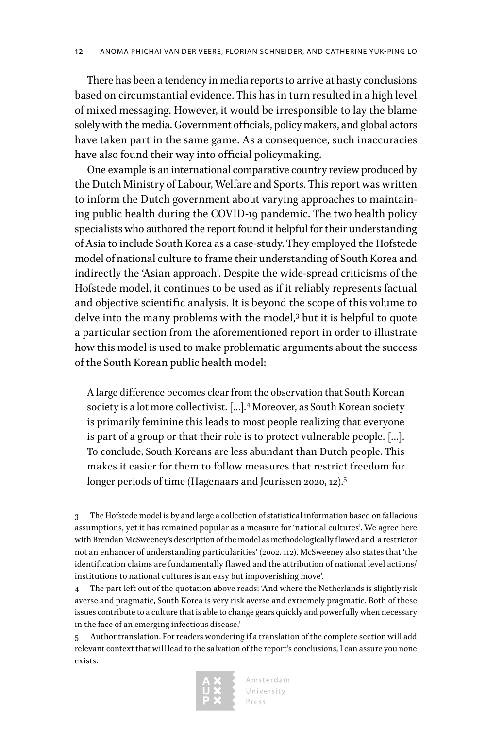There has been a tendency in media reports to arrive at hasty conclusions based on circumstantial evidence. This has in turn resulted in a high level of mixed messaging. However, it would be irresponsible to lay the blame solely with the media. Government officials, policy makers, and global actors have taken part in the same game. As a consequence, such inaccuracies have also found their way into official policymaking.

One example is an international comparative country review produced by the Dutch Ministry of Labour, Welfare and Sports. This report was written to inform the Dutch government about varying approaches to maintaining public health during the COVID-19 pandemic. The two health policy specialists who authored the report found it helpful for their understanding of Asia to include South Korea as a case-study. They employed the Hofstede model of national culture to frame their understanding of South Korea and indirectly the 'Asian approach'. Despite the wide-spread criticisms of the Hofstede model, it continues to be used as if it reliably represents factual and objective scientific analysis. It is beyond the scope of this volume to delve into the many problems with the model,<sup>3</sup> but it is helpful to quote a particular section from the aforementioned report in order to illustrate how this model is used to make problematic arguments about the success of the South Korean public health model:

A large difference becomes clear from the observation that South Korean society is a lot more collectivist. […].<sup>4</sup> Moreover, as South Korean society is primarily feminine this leads to most people realizing that everyone is part of a group or that their role is to protect vulnerable people. […]. To conclude, South Koreans are less abundant than Dutch people. This makes it easier for them to follow measures that restrict freedom for longer periods of time (Hagenaars and Jeurissen 2020, 12).<sup>5</sup>

3 The Hofstede model is by and large a collection of statistical information based on fallacious assumptions, yet it has remained popular as a measure for 'national cultures'. We agree here with Brendan McSweeney's description of the model as methodologically flawed and 'a restrictor not an enhancer of understanding particularities' (2002, 112). McSweeney also states that 'the identification claims are fundamentally flawed and the attribution of national level actions/ institutions to national cultures is an easy but impoverishing move'.

4 The part left out of the quotation above reads: 'And where the Netherlands is slightly risk averse and pragmatic, South Korea is very risk averse and extremely pragmatic. Both of these issues contribute to a culture that is able to change gears quickly and powerfully when necessary in the face of an emerging infectious disease.'

5 Author translation. For readers wondering if a translation of the complete section will add relevant context that will lead to the salvation of the report's conclusions, I can assure you none exists.

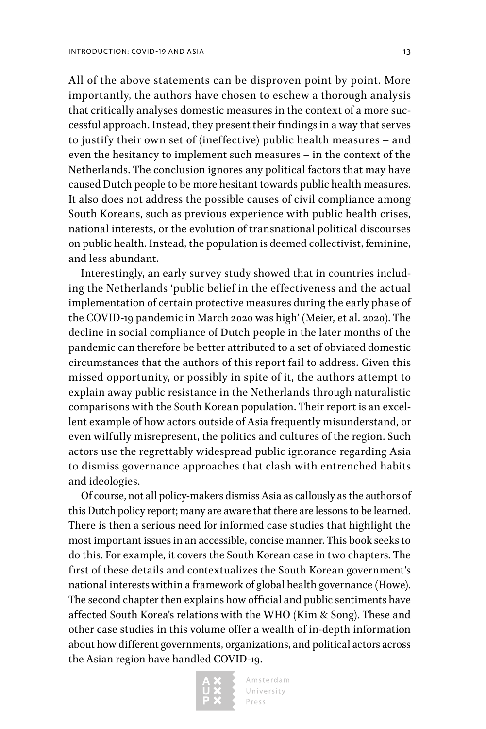All of the above statements can be disproven point by point. More importantly, the authors have chosen to eschew a thorough analysis that critically analyses domestic measures in the context of a more successful approach. Instead, they present their findings in a way that serves to justify their own set of (ineffective) public health measures – and even the hesitancy to implement such measures – in the context of the Netherlands. The conclusion ignores any political factors that may have caused Dutch people to be more hesitant towards public health measures. It also does not address the possible causes of civil compliance among South Koreans, such as previous experience with public health crises, national interests, or the evolution of transnational political discourses on public health. Instead, the population is deemed collectivist, feminine, and less abundant.

Interestingly, an early survey study showed that in countries including the Netherlands 'public belief in the effectiveness and the actual implementation of certain protective measures during the early phase of the COVID-19 pandemic in March 2020 was high' (Meier, et al. 2020). The decline in social compliance of Dutch people in the later months of the pandemic can therefore be better attributed to a set of obviated domestic circumstances that the authors of this report fail to address. Given this missed opportunity, or possibly in spite of it, the authors attempt to explain away public resistance in the Netherlands through naturalistic comparisons with the South Korean population. Their report is an excellent example of how actors outside of Asia frequently misunderstand, or even wilfully misrepresent, the politics and cultures of the region. Such actors use the regrettably widespread public ignorance regarding Asia to dismiss governance approaches that clash with entrenched habits and ideologies.

Of course, not all policy-makers dismiss Asia as callously as the authors of this Dutch policy report; many are aware that there are lessons to be learned. There is then a serious need for informed case studies that highlight the most important issues in an accessible, concise manner. This book seeks to do this. For example, it covers the South Korean case in two chapters. The first of these details and contextualizes the South Korean government's national interests within a framework of global health governance (Howe). The second chapter then explains how official and public sentiments have affected South Korea's relations with the WHO (Kim & Song). These and other case studies in this volume offer a wealth of in-depth information about how different governments, organizations, and political actors across the Asian region have handled COVID-19.

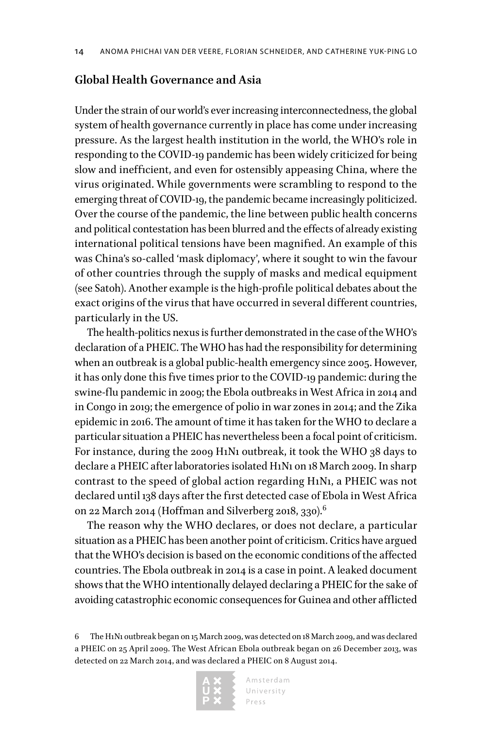### **Global Health Governance and Asia**

Under the strain of our world's ever increasing interconnectedness, the global system of health governance currently in place has come under increasing pressure. As the largest health institution in the world, the WHO's role in responding to the COVID-19 pandemic has been widely criticized for being slow and inefficient, and even for ostensibly appeasing China, where the virus originated. While governments were scrambling to respond to the emerging threat of COVID-19, the pandemic became increasingly politicized. Over the course of the pandemic, the line between public health concerns and political contestation has been blurred and the effects of already existing international political tensions have been magnified. An example of this was China's so-called 'mask diplomacy', where it sought to win the favour of other countries through the supply of masks and medical equipment (see Satoh). Another example is the high-profile political debates about the exact origins of the virus that have occurred in several different countries, particularly in the US.

The health-politics nexus is further demonstrated in the case of the WHO's declaration of a PHEIC. The WHO has had the responsibility for determining when an outbreak is a global public-health emergency since 2005. However, it has only done this five times prior to the COVID-19 pandemic: during the swine-flu pandemic in 2009; the Ebola outbreaks in West Africa in 2014 and in Congo in 2019; the emergence of polio in war zones in 2014; and the Zika epidemic in 2016. The amount of time it has taken for the WHO to declare a particular situation a PHEIC has nevertheless been a focal point of criticism. For instance, during the 2009 H1N1 outbreak, it took the WHO 38 days to declare a PHEIC after laboratories isolated H1N1 on 18 March 2009. In sharp contrast to the speed of global action regarding H1N1, a PHEIC was not declared until 138 days after the first detected case of Ebola in West Africa on 22 March 2014 (Hoffman and Silverberg 2018, 330).<sup>6</sup>

The reason why the WHO declares, or does not declare, a particular situation as a PHEIC has been another point of criticism. Critics have argued that the WHO's decision is based on the economic conditions of the affected countries. The Ebola outbreak in 2014 is a case in point. A leaked document shows that the WHO intentionally delayed declaring a PHEIC for the sake of avoiding catastrophic economic consequences for Guinea and other afflicted

<sup>6</sup> The H1N1 outbreak began on 15 March 2009, was detected on 18 March 2009, and was declared a PHEIC on 25 April 2009. The West African Ebola outbreak began on 26 December 2013, was detected on 22 March 2014, and was declared a PHEIC on 8 August 2014.

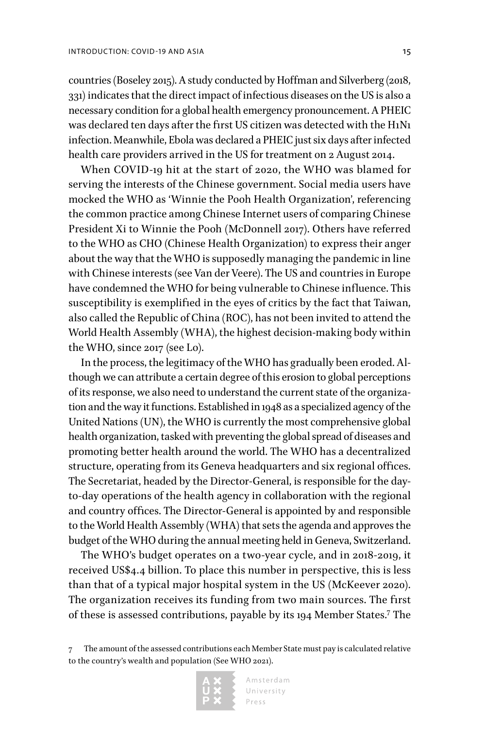countries (Boseley 2015). A study conducted by Hoffman and Silverberg (2018, 331) indicates that the direct impact of infectious diseases on the US is also a necessary condition for a global health emergency pronouncement. A PHEIC was declared ten days after the first US citizen was detected with the H1N1 infection. Meanwhile, Ebola was declared a PHEIC just six days after infected health care providers arrived in the US for treatment on 2 August 2014.

When COVID-19 hit at the start of 2020, the WHO was blamed for serving the interests of the Chinese government. Social media users have mocked the WHO as 'Winnie the Pooh Health Organization', referencing the common practice among Chinese Internet users of comparing Chinese President Xi to Winnie the Pooh (McDonnell 2017). Others have referred to the WHO as CHO (Chinese Health Organization) to express their anger about the way that the WHO is supposedly managing the pandemic in line with Chinese interests (see Van der Veere). The US and countries in Europe have condemned the WHO for being vulnerable to Chinese influence. This susceptibility is exemplified in the eyes of critics by the fact that Taiwan, also called the Republic of China (ROC), has not been invited to attend the World Health Assembly (WHA), the highest decision-making body within the WHO, since 2017 (see Lo).

In the process, the legitimacy of the WHO has gradually been eroded. Although we can attribute a certain degree of this erosion to global perceptions of its response, we also need to understand the current state of the organization and the way it functions. Established in 1948 as a specialized agency of the United Nations (UN), the WHO is currently the most comprehensive global health organization, tasked with preventing the global spread of diseases and promoting better health around the world. The WHO has a decentralized structure, operating from its Geneva headquarters and six regional offices. The Secretariat, headed by the Director-General, is responsible for the dayto-day operations of the health agency in collaboration with the regional and country offices. The Director-General is appointed by and responsible to the World Health Assembly (WHA) that sets the agenda and approves the budget of the WHO during the annual meeting held in Geneva, Switzerland.

The WHO's budget operates on a two-year cycle, and in 2018-2019, it received US\$4.4 billion. To place this number in perspective, this is less than that of a typical major hospital system in the US (McKeever 2020). The organization receives its funding from two main sources. The first of these is assessed contributions, payable by its 194 Member States.7 The

<sup>7</sup> The amount of the assessed contributions each Member State must pay is calculated relative to the country's wealth and population (See WHO 2021).

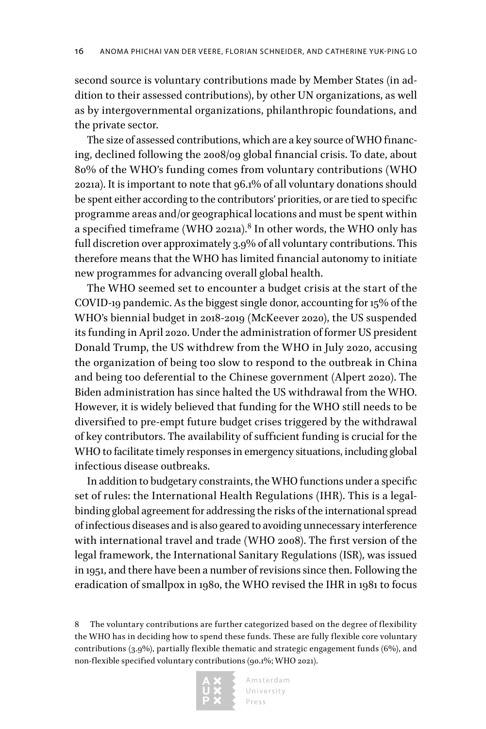second source is voluntary contributions made by Member States (in addition to their assessed contributions), by other UN organizations, as well as by intergovernmental organizations, philanthropic foundations, and the private sector.

The size of assessed contributions, which are a key source of WHO financing, declined following the 2008/09 global financial crisis. To date, about 80% of the WHO's funding comes from voluntary contributions (WHO 2021a). It is important to note that 96.1% of all voluntary donations should be spent either according to the contributors' priorities, or are tied to specific programme areas and/or geographical locations and must be spent within a specified timeframe (WHO 2021a). $^8$  In other words, the WHO only has full discretion over approximately 3.9% of all voluntary contributions. This therefore means that the WHO has limited financial autonomy to initiate new programmes for advancing overall global health.

The WHO seemed set to encounter a budget crisis at the start of the COVID-19 pandemic. As the biggest single donor, accounting for 15% of the WHO's biennial budget in 2018-2019 (McKeever 2020), the US suspended its funding in April 2020. Under the administration of former US president Donald Trump, the US withdrew from the WHO in July 2020, accusing the organization of being too slow to respond to the outbreak in China and being too deferential to the Chinese government (Alpert 2020). The Biden administration has since halted the US withdrawal from the WHO. However, it is widely believed that funding for the WHO still needs to be diversified to pre-empt future budget crises triggered by the withdrawal of key contributors. The availability of sufficient funding is crucial for the WHO to facilitate timely responses in emergency situations, including global infectious disease outbreaks.

In addition to budgetary constraints, the WHO functions under a specific set of rules: the International Health Regulations (IHR). This is a legalbinding global agreement for addressing the risks of the international spread of infectious diseases and is also geared to avoiding unnecessary interference with international travel and trade (WHO 2008). The first version of the legal framework, the International Sanitary Regulations (ISR), was issued in 1951, and there have been a number of revisions since then. Following the eradication of smallpox in 1980, the WHO revised the IHR in 1981 to focus

<sup>8</sup> The voluntary contributions are further categorized based on the degree of flexibility the WHO has in deciding how to spend these funds. These are fully flexible core voluntary contributions (3.9%), partially flexible thematic and strategic engagement funds (6%), and non-flexible specified voluntary contributions (90.1%; WHO 2021).

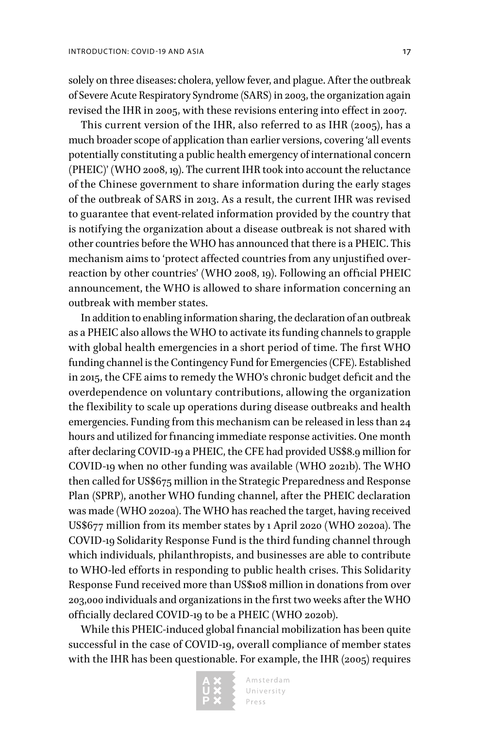solely on three diseases: cholera, yellow fever, and plague. After the outbreak of Severe Acute Respiratory Syndrome (SARS) in 2003, the organization again revised the IHR in 2005, with these revisions entering into effect in 2007.

This current version of the IHR, also referred to as IHR (2005), has a much broader scope of application than earlier versions, covering 'all events potentially constituting a public health emergency of international concern (PHEIC)' (WHO 2008, 19). The current IHR took into account the reluctance of the Chinese government to share information during the early stages of the outbreak of SARS in 2013. As a result, the current IHR was revised to guarantee that event-related information provided by the country that is notifying the organization about a disease outbreak is not shared with other countries before the WHO has announced that there is a PHEIC. This mechanism aims to 'protect affected countries from any unjustified overreaction by other countries' (WHO 2008, 19). Following an official PHEIC announcement, the WHO is allowed to share information concerning an outbreak with member states.

In addition to enabling information sharing, the declaration of an outbreak as a PHEIC also allows the WHO to activate its funding channels to grapple with global health emergencies in a short period of time. The first WHO funding channel is the Contingency Fund for Emergencies (CFE). Established in 2015, the CFE aims to remedy the WHO's chronic budget deficit and the overdependence on voluntary contributions, allowing the organization the flexibility to scale up operations during disease outbreaks and health emergencies. Funding from this mechanism can be released in less than 24 hours and utilized for financing immediate response activities. One month after declaring COVID-19 a PHEIC, the CFE had provided US\$8.9 million for COVID-19 when no other funding was available (WHO 2021b). The WHO then called for US\$675 million in the Strategic Preparedness and Response Plan (SPRP), another WHO funding channel, after the PHEIC declaration was made (WHO 2020a). The WHO has reached the target, having received US\$677 million from its member states by 1 April 2020 (WHO 2020a). The COVID-19 Solidarity Response Fund is the third funding channel through which individuals, philanthropists, and businesses are able to contribute to WHO-led efforts in responding to public health crises. This Solidarity Response Fund received more than US\$108 million in donations from over 203,000 individuals and organizations in the first two weeks after the WHO officially declared COVID-19 to be a PHEIC (WHO 2020b).

While this PHEIC-induced global financial mobilization has been quite successful in the case of COVID-19, overall compliance of member states with the IHR has been questionable. For example, the IHR (2005) requires

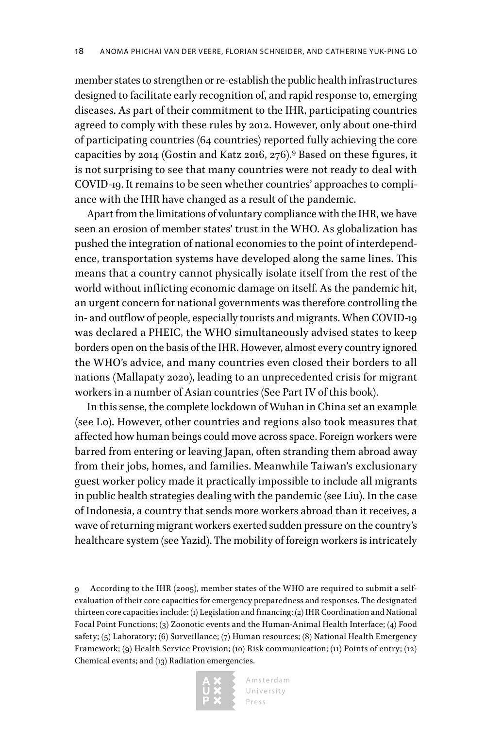member states to strengthen or re-establish the public health infrastructures designed to facilitate early recognition of, and rapid response to, emerging diseases. As part of their commitment to the IHR, participating countries agreed to comply with these rules by 2012. However, only about one-third of participating countries (64 countries) reported fully achieving the core capacities by 2014 (Gostin and Katz 2016, 276).9 Based on these figures, it is not surprising to see that many countries were not ready to deal with COVID-19. It remains to be seen whether countries' approaches to compliance with the IHR have changed as a result of the pandemic.

Apart from the limitations of voluntary compliance with the IHR, we have seen an erosion of member states' trust in the WHO. As globalization has pushed the integration of national economies to the point of interdependence, transportation systems have developed along the same lines. This means that a country cannot physically isolate itself from the rest of the world without inflicting economic damage on itself. As the pandemic hit, an urgent concern for national governments was therefore controlling the in- and outflow of people, especially tourists and migrants. When COVID-19 was declared a PHEIC, the WHO simultaneously advised states to keep borders open on the basis of the IHR. However, almost every country ignored the WHO's advice, and many countries even closed their borders to all nations (Mallapaty 2020), leading to an unprecedented crisis for migrant workers in a number of Asian countries (See Part IV of this book).

In this sense, the complete lockdown of Wuhan in China set an example (see Lo). However, other countries and regions also took measures that affected how human beings could move across space. Foreign workers were barred from entering or leaving Japan, often stranding them abroad away from their jobs, homes, and families. Meanwhile Taiwan's exclusionary guest worker policy made it practically impossible to include all migrants in public health strategies dealing with the pandemic (see Liu). In the case of Indonesia, a country that sends more workers abroad than it receives, a wave of returning migrant workers exerted sudden pressure on the country's healthcare system (see Yazid). The mobility of foreign workers is intricately

<sup>9</sup> According to the IHR (2005), member states of the WHO are required to submit a selfevaluation of their core capacities for emergency preparedness and responses. The designated thirteen core capacities include: (1) Legislation and financing; (2) IHR Coordination and National Focal Point Functions; (3) Zoonotic events and the Human-Animal Health Interface; (4) Food safety; (5) Laboratory; (6) Surveillance; (7) Human resources; (8) National Health Emergency Framework; (9) Health Service Provision; (10) Risk communication; (11) Points of entry; (12) Chemical events; and (13) Radiation emergencies.

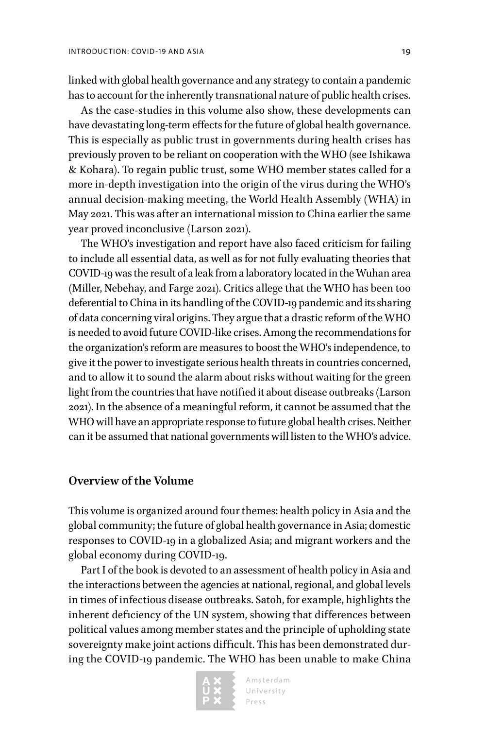linked with global health governance and any strategy to contain a pandemic has to account for the inherently transnational nature of public health crises.

As the case-studies in this volume also show, these developments can have devastating long-term effects for the future of global health governance. This is especially as public trust in governments during health crises has previously proven to be reliant on cooperation with the WHO (see Ishikawa & Kohara). To regain public trust, some WHO member states called for a more in-depth investigation into the origin of the virus during the WHO's annual decision-making meeting, the World Health Assembly (WHA) in May 2021. This was after an international mission to China earlier the same year proved inconclusive (Larson 2021).

The WHO's investigation and report have also faced criticism for failing to include all essential data, as well as for not fully evaluating theories that COVID-19 was the result of a leak from a laboratory located in the Wuhan area (Miller, Nebehay, and Farge 2021). Critics allege that the WHO has been too deferential to China in its handling of the COVID-19 pandemic and its sharing of data concerning viral origins. They argue that a drastic reform of the WHO is needed to avoid future COVID-like crises. Among the recommendations for the organization's reform are measures to boost the WHO's independence, to give it the power to investigate serious health threats in countries concerned, and to allow it to sound the alarm about risks without waiting for the green light from the countries that have notified it about disease outbreaks (Larson 2021). In the absence of a meaningful reform, it cannot be assumed that the WHO will have an appropriate response to future global health crises. Neither can it be assumed that national governments will listen to the WHO's advice.

### **Overview of the Volume**

This volume is organized around four themes: health policy in Asia and the global community; the future of global health governance in Asia; domestic responses to COVID-19 in a globalized Asia; and migrant workers and the global economy during COVID-19.

Part I of the book is devoted to an assessment of health policy in Asia and the interactions between the agencies at national, regional, and global levels in times of infectious disease outbreaks. Satoh, for example, highlights the inherent deficiency of the UN system, showing that differences between political values among member states and the principle of upholding state sovereignty make joint actions difficult. This has been demonstrated during the COVID-19 pandemic. The WHO has been unable to make China

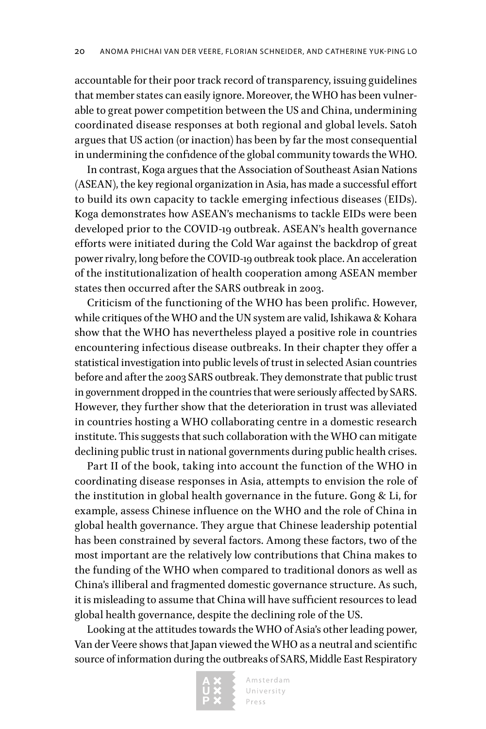accountable for their poor track record of transparency, issuing guidelines that member states can easily ignore. Moreover, the WHO has been vulnerable to great power competition between the US and China, undermining coordinated disease responses at both regional and global levels. Satoh argues that US action (or inaction) has been by far the most consequential in undermining the confidence of the global community towards the WHO.

In contrast, Koga argues that the Association of Southeast Asian Nations (ASEAN), the key regional organization in Asia, has made a successful effort to build its own capacity to tackle emerging infectious diseases (EIDs). Koga demonstrates how ASEAN's mechanisms to tackle EIDs were been developed prior to the COVID-19 outbreak. ASEAN's health governance efforts were initiated during the Cold War against the backdrop of great power rivalry, long before the COVID-19 outbreak took place. An acceleration of the institutionalization of health cooperation among ASEAN member states then occurred after the SARS outbreak in 2003.

Criticism of the functioning of the WHO has been prolific. However, while critiques of the WHO and the UN system are valid, Ishikawa & Kohara show that the WHO has nevertheless played a positive role in countries encountering infectious disease outbreaks. In their chapter they offer a statistical investigation into public levels of trust in selected Asian countries before and after the 2003 SARS outbreak. They demonstrate that public trust in government dropped in the countries that were seriously affected by SARS. However, they further show that the deterioration in trust was alleviated in countries hosting a WHO collaborating centre in a domestic research institute. This suggests that such collaboration with the WHO can mitigate declining public trust in national governments during public health crises.

Part II of the book, taking into account the function of the WHO in coordinating disease responses in Asia, attempts to envision the role of the institution in global health governance in the future. Gong & Li, for example, assess Chinese influence on the WHO and the role of China in global health governance. They argue that Chinese leadership potential has been constrained by several factors. Among these factors, two of the most important are the relatively low contributions that China makes to the funding of the WHO when compared to traditional donors as well as China's illiberal and fragmented domestic governance structure. As such, it is misleading to assume that China will have sufficient resources to lead global health governance, despite the declining role of the US.

Looking at the attitudes towards the WHO of Asia's other leading power, Van der Veere shows that Japan viewed the WHO as a neutral and scientific source of information during the outbreaks of SARS, Middle East Respiratory

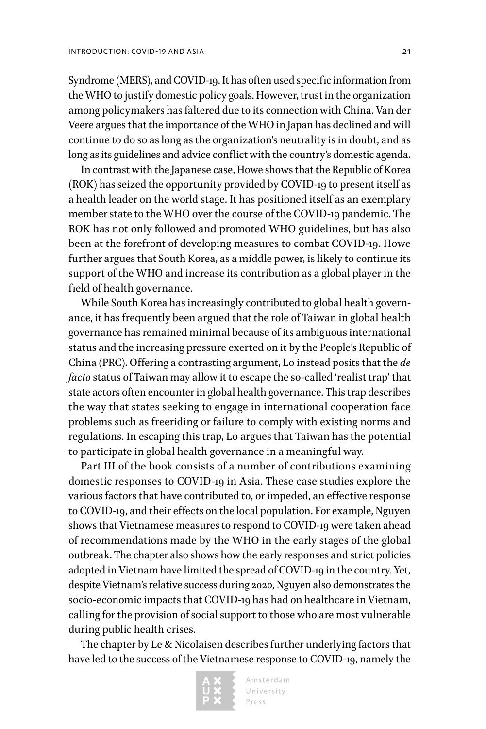Syndrome (MERS), and COVID-19. It has often used specific information from the WHO to justify domestic policy goals. However, trust in the organization among policymakers has faltered due to its connection with China. Van der Veere argues that the importance of the WHO in Japan has declined and will continue to do so as long as the organization's neutrality is in doubt, and as long as its guidelines and advice conflict with the country's domestic agenda.

In contrast with the Japanese case, Howe shows that the Republic of Korea (ROK) has seized the opportunity provided by COVID-19 to present itself as a health leader on the world stage. It has positioned itself as an exemplary member state to the WHO over the course of the COVID-19 pandemic. The ROK has not only followed and promoted WHO guidelines, but has also been at the forefront of developing measures to combat COVID-19. Howe further argues that South Korea, as a middle power, is likely to continue its support of the WHO and increase its contribution as a global player in the field of health governance.

While South Korea has increasingly contributed to global health governance, it has frequently been argued that the role of Taiwan in global health governance has remained minimal because of its ambiguous international status and the increasing pressure exerted on it by the People's Republic of China (PRC). Offering a contrasting argument, Lo instead posits that the *de facto* status of Taiwan may allow it to escape the so-called 'realist trap' that state actors often encounter in global health governance. This trap describes the way that states seeking to engage in international cooperation face problems such as freeriding or failure to comply with existing norms and regulations. In escaping this trap, Lo argues that Taiwan has the potential to participate in global health governance in a meaningful way.

Part III of the book consists of a number of contributions examining domestic responses to COVID-19 in Asia. These case studies explore the various factors that have contributed to, or impeded, an effective response to COVID-19, and their effects on the local population. For example, Nguyen shows that Vietnamese measures to respond to COVID-19 were taken ahead of recommendations made by the WHO in the early stages of the global outbreak. The chapter also shows how the early responses and strict policies adopted in Vietnam have limited the spread of COVID-19 in the country. Yet, despite Vietnam's relative success during 2020, Nguyen also demonstrates the socio-economic impacts that COVID-19 has had on healthcare in Vietnam, calling for the provision of social support to those who are most vulnerable during public health crises.

The chapter by Le & Nicolaisen describes further underlying factors that have led to the success of the Vietnamese response to COVID-19, namely the

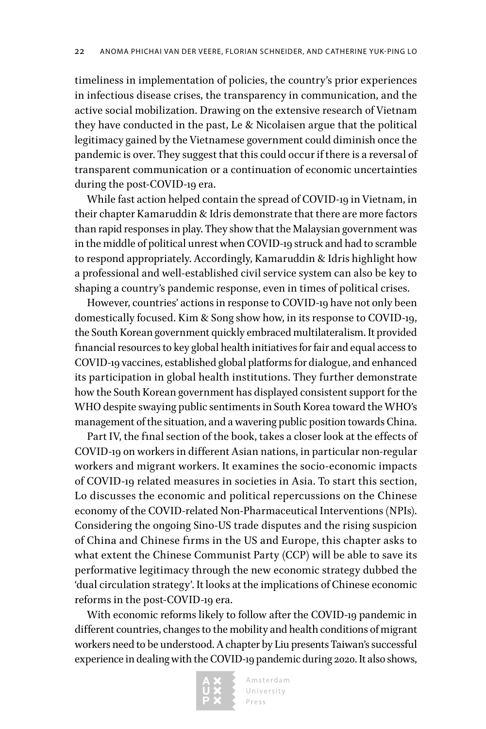timeliness in implementation of policies, the country's prior experiences in infectious disease crises, the transparency in communication, and the active social mobilization. Drawing on the extensive research of Vietnam they have conducted in the past, Le & Nicolaisen argue that the political legitimacy gained by the Vietnamese government could diminish once the pandemic is over. They suggest that this could occur if there is a reversal of transparent communication or a continuation of economic uncertainties during the post-COVID-19 era.

While fast action helped contain the spread of COVID-19 in Vietnam, in their chapter Kamaruddin & Idris demonstrate that there are more factors than rapid responses in play. They show that the Malaysian government was in the middle of political unrest when COVID-19 struck and had to scramble to respond appropriately. Accordingly, Kamaruddin & Idris highlight how a professional and well-established civil service system can also be key to shaping a country's pandemic response, even in times of political crises.

However, countries' actions in response to COVID-19 have not only been domestically focused. Kim & Song show how, in its response to COVID-19, the South Korean government quickly embraced multilateralism. It provided financial resources to key global health initiatives for fair and equal access to COVID-19 vaccines, established global platforms for dialogue, and enhanced its participation in global health institutions. They further demonstrate how the South Korean government has displayed consistent support for the WHO despite swaying public sentiments in South Korea toward the WHO's management of the situation, and a wavering public position towards China.

Part IV, the final section of the book, takes a closer look at the effects of COVID-19 on workers in different Asian nations, in particular non-regular workers and migrant workers. It examines the socio-economic impacts of COVID-19 related measures in societies in Asia. To start this section, Lo discusses the economic and political repercussions on the Chinese economy of the COVID-related Non-Pharmaceutical Interventions (NPIs). Considering the ongoing Sino-US trade disputes and the rising suspicion of China and Chinese firms in the US and Europe, this chapter asks to what extent the Chinese Communist Party (CCP) will be able to save its performative legitimacy through the new economic strategy dubbed the 'dual circulation strategy'. It looks at the implications of Chinese economic reforms in the post-COVID-19 era.

With economic reforms likely to follow after the COVID-19 pandemic in different countries, changes to the mobility and health conditions of migrant workers need to be understood. A chapter by Liu presents Taiwan's successful experience in dealing with the COVID-19 pandemic during 2020. It also shows,

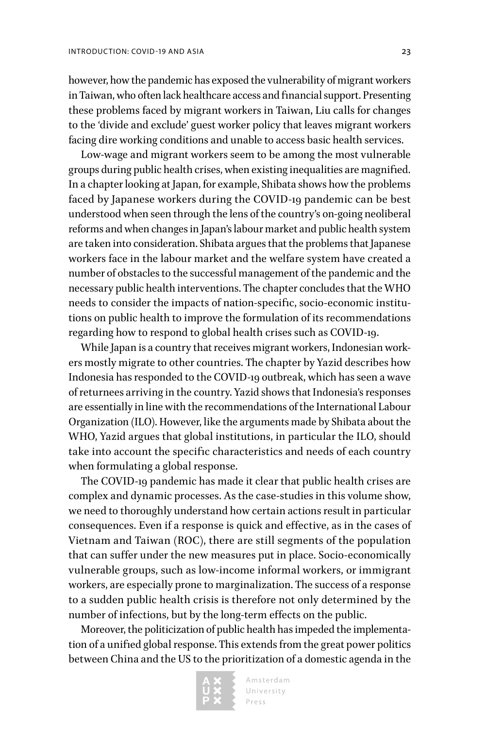however, how the pandemic has exposed the vulnerability of migrant workers in Taiwan, who often lack healthcare access and financial support. Presenting these problems faced by migrant workers in Taiwan, Liu calls for changes to the 'divide and exclude' guest worker policy that leaves migrant workers facing dire working conditions and unable to access basic health services.

Low-wage and migrant workers seem to be among the most vulnerable groups during public health crises, when existing inequalities are magnified. In a chapter looking at Japan, for example, Shibata shows how the problems faced by Japanese workers during the COVID-19 pandemic can be best understood when seen through the lens of the country's on-going neoliberal reforms and when changes in Japan's labour market and public health system are taken into consideration. Shibata argues that the problems that Japanese workers face in the labour market and the welfare system have created a number of obstacles to the successful management of the pandemic and the necessary public health interventions. The chapter concludes that the WHO needs to consider the impacts of nation-specific, socio-economic institutions on public health to improve the formulation of its recommendations regarding how to respond to global health crises such as COVID-19.

While Japan is a country that receives migrant workers, Indonesian workers mostly migrate to other countries. The chapter by Yazid describes how Indonesia has responded to the COVID-19 outbreak, which has seen a wave of returnees arriving in the country. Yazid shows that Indonesia's responses are essentially in line with the recommendations of the International Labour Organization (ILO). However, like the arguments made by Shibata about the WHO, Yazid argues that global institutions, in particular the ILO, should take into account the specific characteristics and needs of each country when formulating a global response.

The COVID-19 pandemic has made it clear that public health crises are complex and dynamic processes. As the case-studies in this volume show, we need to thoroughly understand how certain actions result in particular consequences. Even if a response is quick and effective, as in the cases of Vietnam and Taiwan (ROC), there are still segments of the population that can suffer under the new measures put in place. Socio-economically vulnerable groups, such as low-income informal workers, or immigrant workers, are especially prone to marginalization. The success of a response to a sudden public health crisis is therefore not only determined by the number of infections, but by the long-term effects on the public.

Moreover, the politicization of public health has impeded the implementation of a unified global response. This extends from the great power politics between China and the US to the prioritization of a domestic agenda in the

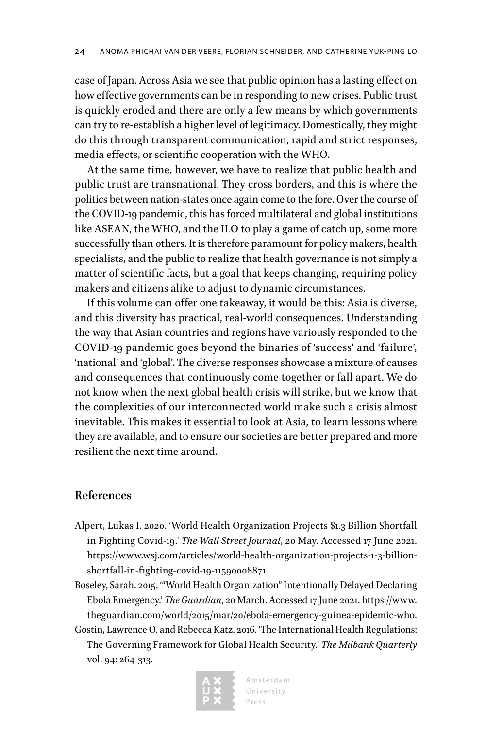case of Japan. Across Asia we see that public opinion has a lasting effect on how effective governments can be in responding to new crises. Public trust is quickly eroded and there are only a few means by which governments can try to re-establish a higher level of legitimacy. Domestically, they might do this through transparent communication, rapid and strict responses, media effects, or scientific cooperation with the WHO.

At the same time, however, we have to realize that public health and public trust are transnational. They cross borders, and this is where the politics between nation-states once again come to the fore. Over the course of the COVID-19 pandemic, this has forced multilateral and global institutions like ASEAN, the WHO, and the ILO to play a game of catch up, some more successfully than others. It is therefore paramount for policy makers, health specialists, and the public to realize that health governance is not simply a matter of scientific facts, but a goal that keeps changing, requiring policy makers and citizens alike to adjust to dynamic circumstances.

If this volume can offer one takeaway, it would be this: Asia is diverse, and this diversity has practical, real-world consequences. Understanding the way that Asian countries and regions have variously responded to the COVID-19 pandemic goes beyond the binaries of 'success' and 'failure', 'national' and 'global'. The diverse responses showcase a mixture of causes and consequences that continuously come together or fall apart. We do not know when the next global health crisis will strike, but we know that the complexities of our interconnected world make such a crisis almost inevitable. This makes it essential to look at Asia, to learn lessons where they are available, and to ensure our societies are better prepared and more resilient the next time around.

### **References**

- Alpert, Lukas I. 2020. 'World Health Organization Projects \$1.3 Billion Shortfall in Fighting Covid-19.' *The Wall Street Journal*, 20 May. Accessed 17 June 2021. [https://www.wsj.com/articles/world-health-organization-projects-1-3-billion](https://www.wsj.com/articles/world-health-organization-projects-1-3-billion-shortfall-in-fighting-covid-19-11590008871)[shortfall-in-fighting-covid-19-11590008871](https://www.wsj.com/articles/world-health-organization-projects-1-3-billion-shortfall-in-fighting-covid-19-11590008871).
- Boseley, Sarah. 2015. '"World Health Organization" Intentionally Delayed Declaring Ebola Emergency.' *The Guardian*, 20 March. Accessed 17 June 2021. [https://www.](https://www.theguardian.com/world/2015/mar/20/ebola-emergency-guinea-epidemic-who) [theguardian.com/world/2015/mar/20/ebola-emergency-guinea-epidemic-who.](https://www.theguardian.com/world/2015/mar/20/ebola-emergency-guinea-epidemic-who)
- Gostin, Lawrence O. and Rebecca Katz. 2016. 'The International Health Regulations: The Governing Framework for Global Health Security.' *The Milbank Quarterly* vol. 94: 264-313.

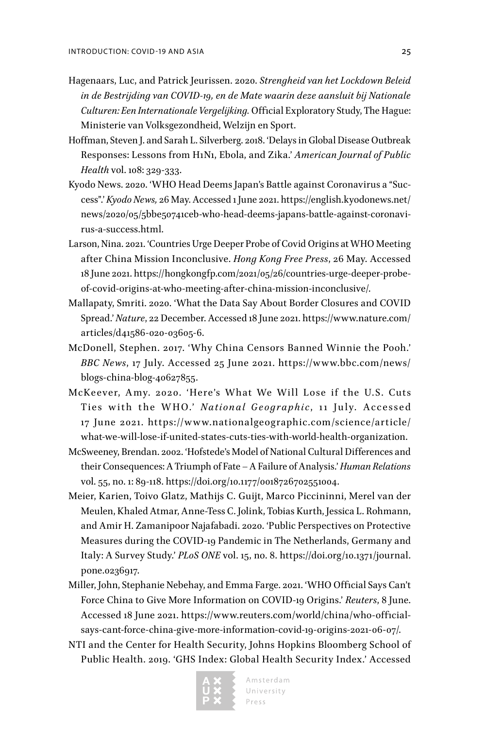- Hagenaars, Luc, and Patrick Jeurissen. 2020. *Strengheid van het Lockdown Beleid in de Bestrijding van COVID-19, en de Mate waarin deze aansluit bij Nationale Culturen: Een Internationale Vergelijking.* Official Exploratory Study, The Hague: Ministerie van Volksgezondheid, Welzijn en Sport.
- Hoffman, Steven J. and Sarah L. Silverberg. 2018. 'Delays in Global Disease Outbreak Responses: Lessons from H1N1, Ebola, and Zika.' *American Journal of Public Health* vol. 108: 329-333.
- Kyodo News. 2020. 'WHO Head Deems Japan's Battle against Coronavirus a "Success".' *Kyodo News,* 26 May. Accessed 1 June 2021. [https://english.kyodonews.net/](https://english.kyodonews.net/news/2020/05/5bbe50741ceb-who-head-deems-japans-battle-against-coronavirus-a-success.html) [news/2020/05/5bbe50741ceb-who-head-deems-japans-battle-against-coronavi](https://english.kyodonews.net/news/2020/05/5bbe50741ceb-who-head-deems-japans-battle-against-coronavirus-a-success.html)[rus-a-success.html](https://english.kyodonews.net/news/2020/05/5bbe50741ceb-who-head-deems-japans-battle-against-coronavirus-a-success.html).
- Larson, Nina. 2021. 'Countries Urge Deeper Probe of Covid Origins at WHO Meeting after China Mission Inconclusive. *Hong Kong Free Press*, 26 May. Accessed 18 June 2021. [https://hongkongfp.com/2021/05/26/countries-urge-deeper-probe](https://hongkongfp.com/2021/05/26/countries-urge-deeper-probe-of-covid-origins-at-who-meeting-after-china-mission-inconclusive/)[of-covid-origins-at-who-meeting-after-china-mission-inconclusive/.](https://hongkongfp.com/2021/05/26/countries-urge-deeper-probe-of-covid-origins-at-who-meeting-after-china-mission-inconclusive/)
- Mallapaty, Smriti. 2020. 'What the Data Say About Border Closures and COVID Spread.' *Nature*, 22 December. Accessed 18 June 2021. [https://www.nature.com/](https://www.nature.com/articles/d41586-020-03605-6) [articles/d41586-020-03605-6.](https://www.nature.com/articles/d41586-020-03605-6)
- McDonell, Stephen. 2017. 'Why China Censors Banned Winnie the Pooh.' *BBC News*, 17 July. Accessed 25 June 2021. [https://www.bbc.com/news/](https://www.bbc.com/news/blogs-china-blog-40627855) [blogs-china-blog-40627855](https://www.bbc.com/news/blogs-china-blog-40627855).
- McKeever, Amy. 2020. 'Here's What We Will Lose if the U.S. Cuts Ties with the WHO.' National Geographic, 11 July. Accessed 17 June 2021. [https://w w w.nationalgeographic.com/science/article/](https://www.nationalgeographic.com/science/article/what-we-will-lose-if-united-states-cuts-ties-with-world-health-organization) [what-we-will-lose-if-united-states-cuts-ties-with-world-health-organization.](https://www.nationalgeographic.com/science/article/what-we-will-lose-if-united-states-cuts-ties-with-world-health-organization)
- McSweeney, Brendan. 2002. 'Hofstede's Model of National Cultural Differences and their Consequences: A Triumph of Fate – A Failure of Analysis.' *Human Relations* vol. 55, no. 1: 89-118.<https://doi.org/10.1177/0018726702551004>.
- Meier, Karien, Toivo Glatz, Mathijs C. Guijt, Marco Piccininni, Merel van der Meulen, Khaled Atmar, Anne-Tess C. Jolink, Tobias Kurth, Jessica L. Rohmann, and Amir H. Zamanipoor Najafabadi. 2020. 'Public Perspectives on Protective Measures during the COVID-19 Pandemic in The Netherlands, Germany and Italy: A Survey Study.' *PLoS ONE* vol. 15, no. 8. [https://doi.org/10.1371/journal.](https://doi.org/10.1371/journal.pone.0236917) [pone.0236917](https://doi.org/10.1371/journal.pone.0236917).
- Miller, John, Stephanie Nebehay, and Emma Farge. 2021. 'WHO Official Says Can't Force China to Give More Information on COVID-19 Origins.' *Reuters*, 8 June. Accessed 18 June 2021. [https://www.reuters.com/world/china/who-official](https://www.reuters.com/world/china/who-official-says-cant-force-china-give-more-information-covid-19-origins-2021-06-07/)[says-cant-force-china-give-more-information-covid-19-origins-2021-06-07/](https://www.reuters.com/world/china/who-official-says-cant-force-china-give-more-information-covid-19-origins-2021-06-07/).
- NTI and the Center for Health Security, Johns Hopkins Bloomberg School of Public Health. 2019. 'GHS Index: Global Health Security Index.' Accessed

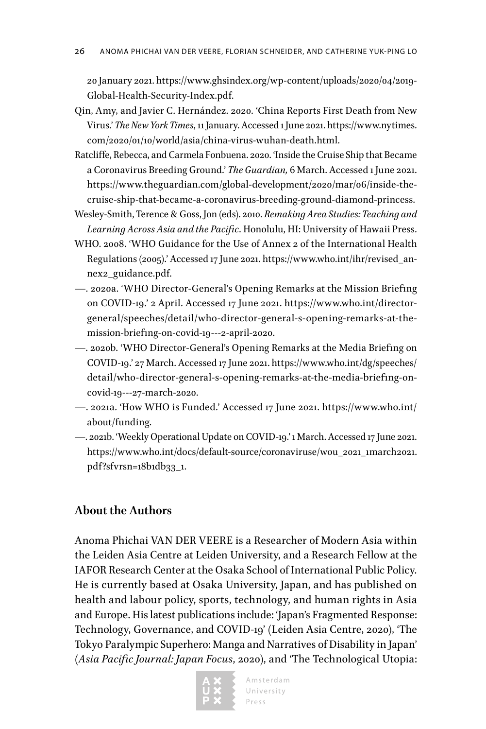20 January 2021. [https://www.ghsindex.org/wp-content/uploads/2020/04/2019-](https://www.ghsindex.org/wp-content/uploads/2020/04/2019-Global-Health-Security-Index.pdf) [Global-Health-Security-Index.pdf.](https://www.ghsindex.org/wp-content/uploads/2020/04/2019-Global-Health-Security-Index.pdf)

- Qin, Amy, and Javier C. Hernández. 2020. 'China Reports First Death from New Virus.' *The New York Times*, 11 January. Accessed 1 June 2021. [https://www.nytimes.](https://www.nytimes.com/2020/01/10/world/asia/china-virus-wuhan-death.html) [com/2020/01/10/world/asia/china-virus-wuhan-death.html.](https://www.nytimes.com/2020/01/10/world/asia/china-virus-wuhan-death.html)
- Ratcliffe, Rebecca, and Carmela Fonbuena. 2020. 'Inside the Cruise Ship that Became a Coronavirus Breeding Ground.' *The Guardian,* 6 March. Accessed 1 June 2021. [https://www.theguardian.com/global-development/2020/mar/06/inside-the](https://www.theguardian.com/global-development/2020/mar/06/inside-the-cruise-ship-that-became-a-coronavirus-breeding-ground-diamond-princess)[cruise-ship-that-became-a-coronavirus-breeding-ground-diamond-princess](https://www.theguardian.com/global-development/2020/mar/06/inside-the-cruise-ship-that-became-a-coronavirus-breeding-ground-diamond-princess).
- Wesley-Smith, Terence & Goss, Jon (eds). 2010. *Remaking Area Studies: Teaching and Learning Across Asia and the Pacific*. Honolulu, HI: University of Hawaii Press.
- WHO. 2008. 'WHO Guidance for the Use of Annex 2 of the International Health Regulations (2005).' Accessed 17 June 2021. [https://www.who.int/ihr/revised\\_an](https://www.who.int/ihr/revised_annex2_guidance.pdf)[nex2\\_guidance.pdf.](https://www.who.int/ihr/revised_annex2_guidance.pdf)
- —. 2020a. 'WHO Director-General's Opening Remarks at the Mission Briefing on COVID-19.' 2 April. Accessed 17 June 2021. [https://www.who.int/director](https://www.who.int/director-general/speeches/detail/who-director-general-s-opening-remarks-at-the-mission-briefing-on-covid-19---2-april-2020)[general/speeches/detail/who-director-general-s-opening-remarks-at-the](https://www.who.int/director-general/speeches/detail/who-director-general-s-opening-remarks-at-the-mission-briefing-on-covid-19---2-april-2020)[mission-briefing-on-covid-19---2-april-2020](https://www.who.int/director-general/speeches/detail/who-director-general-s-opening-remarks-at-the-mission-briefing-on-covid-19---2-april-2020).
- —. 2020b. 'WHO Director-General's Opening Remarks at the Media Briefing on COVID-19.' 27 March. Accessed 17 June 2021. [https://www.who.int/dg/speeches/](https://www.who.int/dg/speeches/detail/who-director-general-s-opening-remarks-at-the-media-briefing-on-covid-19---27-march-2020) [detail/who-director-general-s-opening-remarks-at-the-media-briefing-on](https://www.who.int/dg/speeches/detail/who-director-general-s-opening-remarks-at-the-media-briefing-on-covid-19---27-march-2020)[covid-19---27-march-2020.](https://www.who.int/dg/speeches/detail/who-director-general-s-opening-remarks-at-the-media-briefing-on-covid-19---27-march-2020)
- —. 2021a. 'How WHO is Funded.' Accessed 17 June 2021. [https://www.who.int/](https://www.who.int/about/funding) [about/funding](https://www.who.int/about/funding).
- —. 2021b. 'Weekly Operational Update on COVID-19.' 1 March. Accessed 17 June 2021. [https://www.who.int/docs/default-source/coronaviruse/wou\\_2021\\_1march2021.](https://www.who.int/docs/default-source/coronaviruse/wou_2021_1march2021.pdf?sfvrsn=18b1db33_1) [pdf?sfvrsn=18b1db33\\_1](https://www.who.int/docs/default-source/coronaviruse/wou_2021_1march2021.pdf?sfvrsn=18b1db33_1).

### **About the Authors**

Anoma Phichai VAN DER VEERE is a Researcher of Modern Asia within the Leiden Asia Centre at Leiden University, and a Research Fellow at the IAFOR Research Center at the Osaka School of International Public Policy. He is currently based at Osaka University, Japan, and has published on health and labour policy, sports, technology, and human rights in Asia and Europe. His latest publications include: 'Japan's Fragmented Response: Technology, Governance, and COVID-19' (Leiden Asia Centre, 2020), 'The Tokyo Paralympic Superhero: Manga and Narratives of Disability in Japan' (*Asia Pacific Journal: Japan Focus*, 2020), and 'The Technological Utopia: